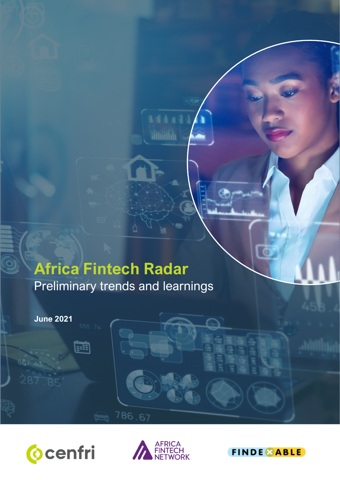# **Africa Fintech Radar** Preliminary trends and learnings

Ŏ

**June 2021**

667 17

e





786.67

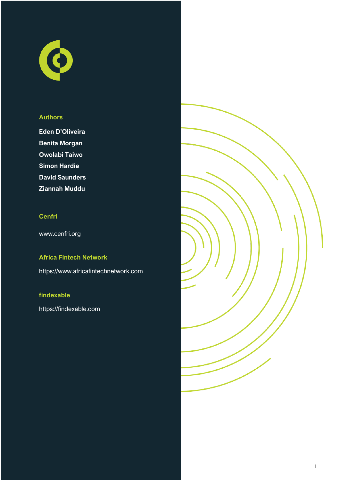

#### **Authors**

**Eden D'Oliveira Benita Morgan Owolabi Taiwo Simon Hardie David Saunders Ziannah Muddu** 

#### **Cenfri**

www.cenfri.org

## **Africa Fintech Network**

https://www.africafintechnetwork.com

#### **findexable**

https://findexable.com

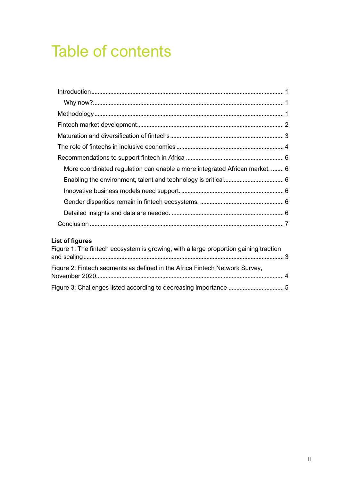# Table of contents

| More coordinated regulation can enable a more integrated African market.  6 |  |
|-----------------------------------------------------------------------------|--|
|                                                                             |  |
|                                                                             |  |
|                                                                             |  |
|                                                                             |  |
|                                                                             |  |

## **List of figures**

| Figure 1: The fintech ecosystem is growing, with a large proportion gaining traction |  |
|--------------------------------------------------------------------------------------|--|
| Figure 2: Fintech segments as defined in the Africa Fintech Network Survey,          |  |
|                                                                                      |  |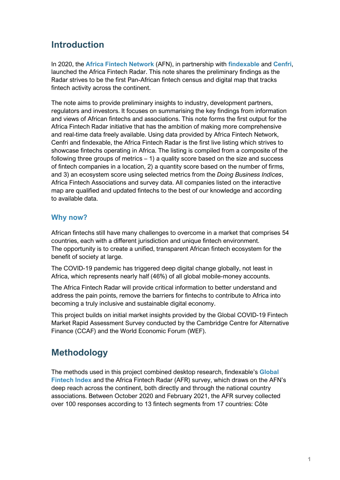# <span id="page-3-0"></span>**Introduction**

In 2020, the **[Africa Fintech Network](https://www.africafintechnetwork.com/)** (AFN), in partnership with **[findexable](https://findexable.com/)** and **[Cenfri](https://cenfri.org/)**, launched the Africa Fintech Radar. This note shares the preliminary findings as the Radar strives to be the first Pan-African fintech census and digital map that tracks fintech activity across the continent.

The note aims to provide preliminary insights to industry, development partners, regulators and investors. It focuses on summarising the key findings from information and views of African fintechs and associations. This note forms the first output for the Africa Fintech Radar initiative that has the ambition of making more comprehensive and real-time data freely available. Using data provided by Africa Fintech Network, Cenfri and findexable, the Africa Fintech Radar is the first live listing which strives to showcase fintechs operating in Africa. The listing is compiled from a composite of the following three groups of metrics – 1) a quality score based on the size and success of fintech companies in a location, 2) a quantity score based on the number of firms, and 3) an ecosystem score using selected metrics from the *Doing Business Indices*, Africa Fintech Associations and survey data. All companies listed on the interactive map are qualified and updated fintechs to the best of our knowledge and according to available data.

### <span id="page-3-1"></span>**Why now?**

African fintechs still have many challenges to overcome in a market that comprises 54 countries, each with a different jurisdiction and unique fintech environment. The opportunity is to create a unified, transparent African fintech ecosystem for the benefit of society at large.

The COVID-19 pandemic has triggered deep digital change globally, not least in Africa, which represents nearly half (46%) of all global mobile-money accounts.

The Africa Fintech Radar will provide critical information to better understand and address the pain points, remove the barriers for fintechs to contribute to Africa into becoming a truly inclusive and sustainable digital economy.

This project builds on initial market insights provided by the Global COVID-19 Fintech Market Rapid Assessment Survey conducted by the Cambridge Centre for Alternative Finance (CCAF) and the World Economic Forum (WEF).

# <span id="page-3-2"></span>**Methodology**

The methods used in this project combined desktop research, findexable's **[Global](https://findexable.com/gfi-live/)  [Fintech Index](https://findexable.com/gfi-live/)** and the Africa Fintech Radar (AFR) survey, which draws on the AFN's deep reach across the continent, both directly and through the national country associations. Between October 2020 and February 2021, the AFR survey collected over 100 responses according to 13 fintech segments from 17 countries: Côte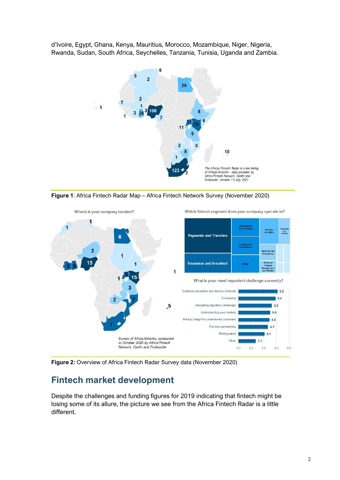d'Ivoire, Egypt, Ghana, Kenya, Mauritius, Morocco, Mozambique, Niger, Nigeria, Rwanda, Sudan, South Africa, Seychelles, Tanzania, Tunisia, Uganda and Zambia.







**Figure 2:** Overview of Africa Fintech Radar Survey data (November 2020)

## <span id="page-4-0"></span>**Fintech market development**

Despite the challenges and funding figures for 2019 indicating that fintech might be losing some of its allure, the picture we see from the Africa Fintech Radar is a little different.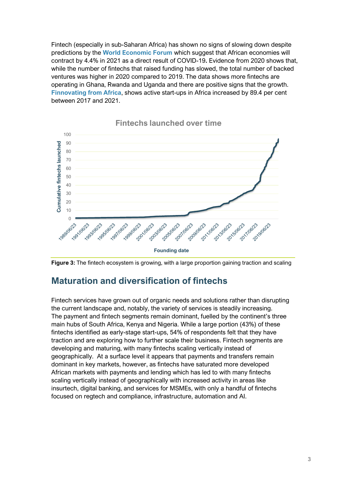Fintech (especially in sub-Saharan Africa) has shown no signs of slowing down despite predictions by the **[World Economic Forum](https://www.weforum.org/agenda/2019/02/fintech-in-sub-saharan-africa-a-potential-game-changer)** which suggest that African economies will contract by 4.4% in 2021 as a direct result of COVID-19**.** Evidence from 2020 shows that, while the number of fintechs that raised funding has slowed, the total number of backed ventures was higher in 2020 compared to 2019. The data shows more fintechs are operating in Ghana, Rwanda and Uganda and there are positive signs that the growth. **[Finnovating from Africa](https://disrupt-africa.com/finnovating-for-africa/)**, shows active start-ups in Africa increased by 89.4 per cent between 2017 and 2021.



**Fintechs launched over time**



## <span id="page-5-0"></span>**Maturation and diversification of fintechs**

Fintech services have grown out of organic needs and solutions rather than disrupting the current landscape and, notably, the variety of services is steadily increasing. The payment and fintech segments remain dominant, fuelled by the continent's three main hubs of South Africa, Kenya and Nigeria. While a large portion (43%) of these fintechs identified as early-stage start-ups, 54% of respondents felt that they have traction and are exploring how to further scale their business. Fintech segments are developing and maturing, with many fintechs scaling vertically instead of geographically. At a surface level it appears that payments and transfers remain dominant in key markets, however, as fintechs have saturated more developed African markets with payments and lending which has led to with many fintechs scaling vertically instead of geographically with increased activity in areas like insurtech, digital banking, and services for MSMEs, with only a handful of fintechs focused on regtech and compliance, infrastructure, automation and AI.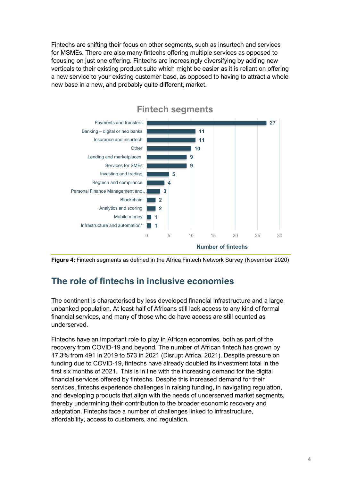Fintechs are shifting their focus on other segments, such as insurtech and services for MSMEs. There are also many fintechs offering multiple services as opposed to focusing on just one offering. Fintechs are increasingly diversifying by adding new verticals to their existing product suite which might be easier as it is reliant on offering a new service to your existing customer base, as opposed to having to attract a whole new base in a new, and probably quite different, market.







## <span id="page-6-0"></span>**The role of fintechs in inclusive economies**

The continent is characterised by less developed financial infrastructure and a large unbanked population. At least half of Africans still lack access to any kind of formal financial services, and many of those who do have access are still counted as underserved.

Fintechs have an important role to play in African economies, both as part of the recovery from COVID-19 and beyond. The number of African fintech has grown by 17.3% from 491 in 2019 to 573 in 2021 (Disrupt Africa, 2021). Despite pressure on funding due to COVID-19, fintechs have already doubled its investment total in the first six months of 2021. This is in line with the increasing demand for the digital financial services offered by fintechs. Despite this increased demand for their services, fintechs experience challenges in raising funding, in navigating regulation, and developing products that align with the needs of underserved market segments, thereby undermining their contribution to the broader economic recovery and adaptation. Fintechs face a number of challenges linked to infrastructure, affordability, access to customers, and regulation.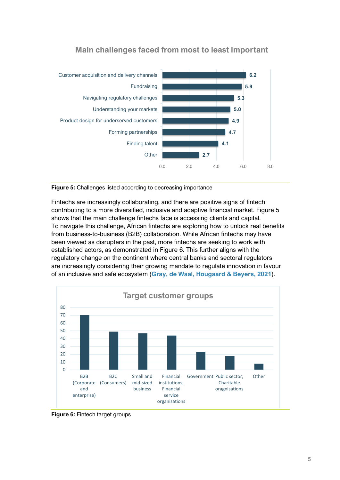

## **Main challenges faced from most to least important**

<span id="page-7-0"></span>**Figure 5:** Challenges listed according to decreasing importance

Fintechs are increasingly collaborating, and there are positive signs of fintech contributing to a more diversified, inclusive and adaptive financial market. [Figure 5](#page-7-0) shows that the main challenge fintechs face is accessing clients and capital. To navigate this challenge, African fintechs are exploring how to unlock real benefits from business-to-business (B2B) collaboration. While African fintechs may have been viewed as disrupters in the past, more fintechs are seeking to work with established actors, as demonstrated in [Figure 6.](#page-7-1) This further aligns with the regulatory change on the continent where central banks and sectoral regulators are increasingly considering their growing mandate to regulate innovation in favour of an inclusive and safe ecosystem (**[Gray, de Waal, Hougaard & Beyers, 2021](https://cenfri.org/wp-content/uploads/Regulating-for-innovation-toolkit.pdf)**).



<span id="page-7-1"></span>**Figure 6:** Fintech target groups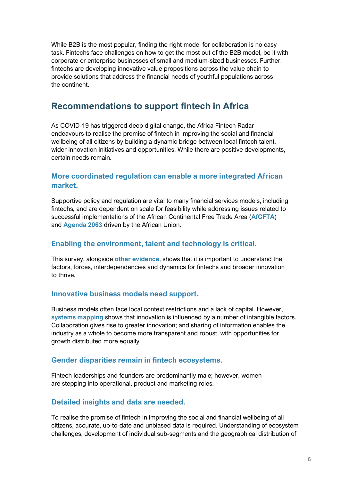While B2B is the most popular, finding the right model for collaboration is no easy task. Fintechs face challenges on how to get the most out of the B2B model, be it with corporate or enterprise businesses of small and medium-sized businesses. Further, fintechs are developing innovative value propositions across the value chain to provide solutions that address the financial needs of youthful populations across the continent.

## <span id="page-8-0"></span>**Recommendations to support fintech in Africa**

As COVID-19 has triggered deep digital change, the Africa Fintech Radar endeavours to realise the promise of fintech in improving the social and financial wellbeing of all citizens by building a dynamic bridge between local fintech talent, wider innovation initiatives and opportunities. While there are positive developments, certain needs remain.

### <span id="page-8-1"></span>**More coordinated regulation can enable a more integrated African market.**

Supportive policy and regulation are vital to many financial services models, including fintechs, and are dependent on scale for feasibility while addressing issues related to successful implementations of the African Continental Free Trade Area (**[AfCFTA](https://bit.ly/33JbvD6)**) and **[Agenda 2063](https://au.int/en/agenda2063/overview)** driven by the African Union.

### <span id="page-8-2"></span>**Enabling the environment, talent and technology is critical.**

This survey, alongside **[other evidence](https://cenfri.org/publications/innovation-ecosystems-in-sub-saharan-africa/)**, shows that it is important to understand the factors, forces, interdependencies and dynamics for fintechs and broader innovation to thrive.

#### <span id="page-8-3"></span>**Innovative business models need support.**

Business models often face local context restrictions and a lack of capital. However, **[systems mapping](https://cenfri.org/wp-content/uploads/Innovation-Ecosystems-in-SSA-report_August-2020.pdf)** shows that innovation is influenced by a number of intangible factors. Collaboration gives rise to greater innovation; and sharing of information enables the industry as a whole to become more transparent and robust, with opportunities for growth distributed more equally.

#### <span id="page-8-4"></span>**Gender disparities remain in fintech ecosystems.**

Fintech leaderships and founders are predominantly male; however, women are stepping into operational, product and marketing roles.

#### <span id="page-8-5"></span>**Detailed insights and data are needed.**

To realise the promise of fintech in improving the social and financial wellbeing of all citizens, accurate, up-to-date and unbiased data is required. Understanding of ecosystem challenges, development of individual sub-segments and the geographical distribution of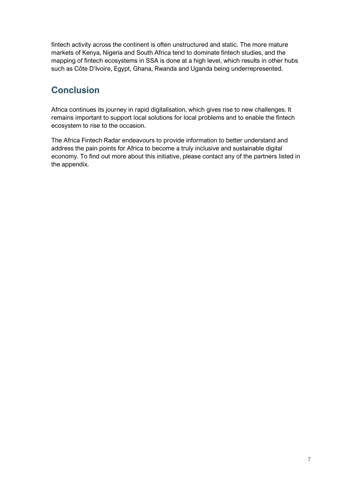fintech activity across the continent is often unstructured and static. The more mature markets of Kenya, Nigeria and South Africa tend to dominate fintech studies, and the mapping of fintech ecosystems in SSA is done at a high level, which results in other hubs such as Côte D'Ivoire, Egypt, Ghana, Rwanda and Uganda being underrepresented.

## <span id="page-9-0"></span>**Conclusion**

Africa continues its journey in rapid digitalisation, which gives rise to new challenges. It remains important to support local solutions for local problems and to enable the fintech ecosystem to rise to the occasion.

The Africa Fintech Radar endeavours to provide information to better understand and address the pain points for Africa to become a truly inclusive and sustainable digital economy. To find out more about this initiative, please contact any of the partners listed in the appendix.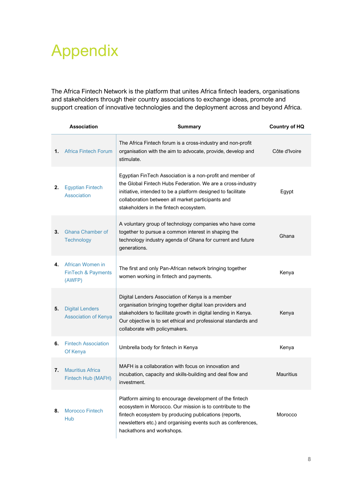# Appendix

The Africa Fintech Network is the platform that unites Africa fintech leaders, organisations and stakeholders through their country associations to exchange ideas, promote and support creation of innovative technologies and the deployment across and beyond Africa.

|    | <b>Association</b>                                          | <b>Summary</b>                                                                                                                                                                                                                                                                           | <b>Country of HQ</b> |
|----|-------------------------------------------------------------|------------------------------------------------------------------------------------------------------------------------------------------------------------------------------------------------------------------------------------------------------------------------------------------|----------------------|
| 1. | <b>Africa Fintech Forum</b>                                 | The Africa Fintech forum is a cross-industry and non-profit<br>organisation with the aim to advocate, provide, develop and<br>stimulate.                                                                                                                                                 | Côte d'Ivoire        |
| 2. | <b>Egyptian Fintech</b><br>Association                      | Egyptian FinTech Association is a non-profit and member of<br>the Global Fintech Hubs Federation. We are a cross-industry<br>initiative, intended to be a platform designed to facilitate<br>collaboration between all market participants and<br>stakeholders in the fintech ecosystem. | Egypt                |
| 3. | <b>Ghana Chamber of</b><br><b>Technology</b>                | A voluntary group of technology companies who have come<br>together to pursue a common interest in shaping the<br>technology industry agenda of Ghana for current and future<br>generations.                                                                                             | Ghana                |
| 4. | African Women in<br><b>FinTech &amp; Payments</b><br>(AWFP) | The first and only Pan-African network bringing together<br>women working in fintech and payments.                                                                                                                                                                                       | Kenya                |
| 5. | <b>Digital Lenders</b><br><b>Association of Kenya</b>       | Digital Lenders Association of Kenya is a member<br>organisation bringing together digital loan providers and<br>stakeholders to facilitate growth in digital lending in Kenya.<br>Our objective is to set ethical and professional standards and<br>collaborate with policymakers.      | Kenya                |
| 6. | <b>Fintech Association</b><br>Of Kenya                      | Umbrella body for fintech in Kenya                                                                                                                                                                                                                                                       | Kenya                |
| 7. | <b>Mauritius Africa</b><br>Fintech Hub (MAFH)               | MAFH is a collaboration with focus on innovation and<br>incubation, capacity and skills-building and deal flow and<br>investment.                                                                                                                                                        | <b>Mauritius</b>     |
| 8. | <b>Morocco Fintech</b><br>Hub                               | Platform aiming to encourage development of the fintech<br>ecosystem in Morocco. Our mission is to contribute to the<br>fintech ecosystem by producing publications (reports,<br>newsletters etc.) and organising events such as conferences,<br>hackathons and workshops.               | Morocco              |